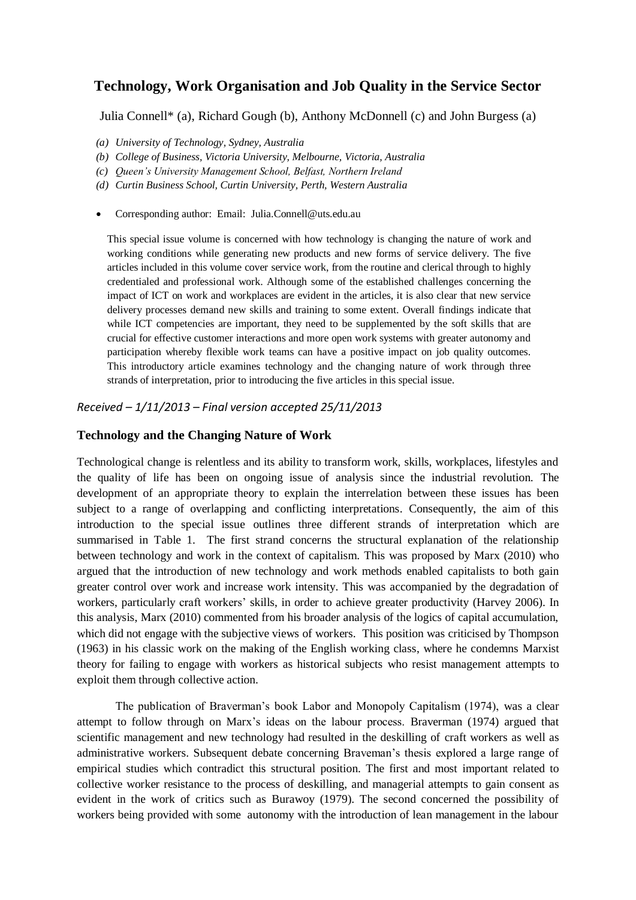## **Technology, Work Organisation and Job Quality in the Service Sector**

Julia Connell\* (a), Richard Gough (b), Anthony McDonnell (c) and John Burgess (a)

- *(a) University of Technology, Sydney, Australia*
- *(b) College of Business, Victoria University, Melbourne, Victoria, Australia*
- *(c) Queen's University Management School, Belfast, Northern Ireland*
- *(d) Curtin Business School, Curtin University, Perth, Western Australia*
- Corresponding author: Email: Julia.Connell@uts.edu.au

This special issue volume is concerned with how technology is changing the nature of work and working conditions while generating new products and new forms of service delivery. The five articles included in this volume cover service work, from the routine and clerical through to highly credentialed and professional work. Although some of the established challenges concerning the impact of ICT on work and workplaces are evident in the articles, it is also clear that new service delivery processes demand new skills and training to some extent. Overall findings indicate that while ICT competencies are important, they need to be supplemented by the soft skills that are crucial for effective customer interactions and more open work systems with greater autonomy and participation whereby flexible work teams can have a positive impact on job quality outcomes. This introductory article examines technology and the changing nature of work through three strands of interpretation, prior to introducing the five articles in this special issue.

#### *Received – 1/11/2013 – Final version accepted 25/11/2013*

### **Technology and the Changing Nature of Work**

Technological change is relentless and its ability to transform work, skills, workplaces, lifestyles and the quality of life has been on ongoing issue of analysis since the industrial revolution. The development of an appropriate theory to explain the interrelation between these issues has been subject to a range of overlapping and conflicting interpretations. Consequently, the aim of this introduction to the special issue outlines three different strands of interpretation which are summarised in Table 1. The first strand concerns the structural explanation of the relationship between technology and work in the context of capitalism. This was proposed by Marx (2010) who argued that the introduction of new technology and work methods enabled capitalists to both gain greater control over work and increase work intensity. This was accompanied by the degradation of workers, particularly craft workers' skills, in order to achieve greater productivity (Harvey 2006). In this analysis, Marx (2010) commented from his broader analysis of the logics of capital accumulation, which did not engage with the subjective views of workers. This position was criticised by Thompson (1963) in his classic work on the making of the English working class, where he condemns Marxist theory for failing to engage with workers as historical subjects who resist management attempts to exploit them through collective action.

The publication of Braverman's book Labor and Monopoly Capitalism (1974), was a clear attempt to follow through on Marx's ideas on the labour process. Braverman (1974) argued that scientific management and new technology had resulted in the deskilling of craft workers as well as administrative workers. Subsequent debate concerning Braveman's thesis explored a large range of empirical studies which contradict this structural position. The first and most important related to collective worker resistance to the process of deskilling, and managerial attempts to gain consent as evident in the work of critics such as Burawoy (1979). The second concerned the possibility of workers being provided with some autonomy with the introduction of lean management in the labour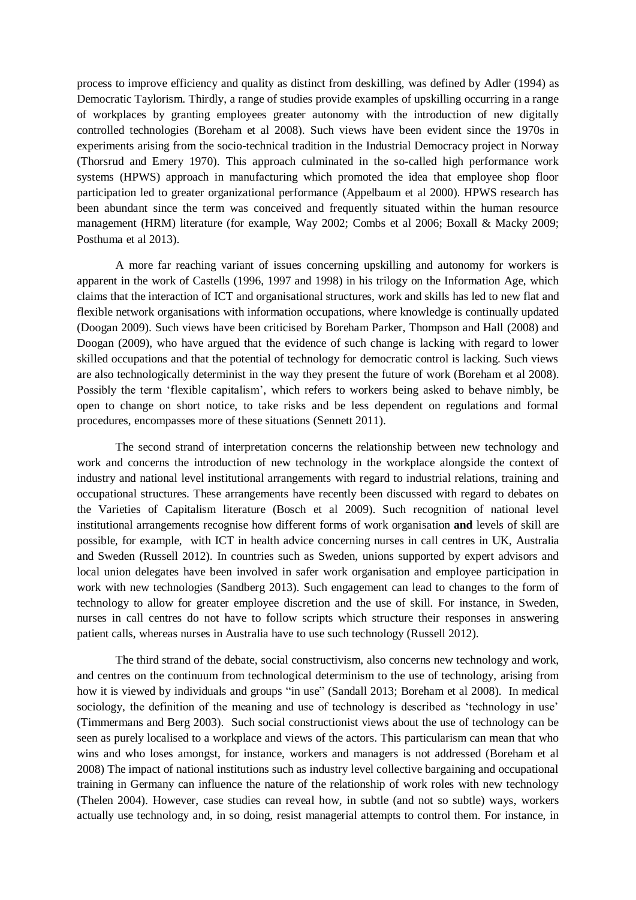process to improve efficiency and quality as distinct from deskilling, was defined by Adler (1994) as Democratic Taylorism. Thirdly, a range of studies provide examples of upskilling occurring in a range of workplaces by granting employees greater autonomy with the introduction of new digitally controlled technologies (Boreham et al 2008). Such views have been evident since the 1970s in experiments arising from the socio-technical tradition in the Industrial Democracy project in Norway (Thorsrud and Emery 1970). This approach culminated in the so-called high performance work systems (HPWS) approach in manufacturing which promoted the idea that employee shop floor participation led to greater organizational performance (Appelbaum et al 2000). HPWS research has been abundant since the term was conceived and frequently situated within the human resource management (HRM) literature (for example, Way 2002; Combs et al 2006; Boxall & Macky 2009; Posthuma et al 2013).

A more far reaching variant of issues concerning upskilling and autonomy for workers is apparent in the work of Castells (1996, 1997 and 1998) in his trilogy on the Information Age, which claims that the interaction of ICT and organisational structures, work and skills has led to new flat and flexible network organisations with information occupations, where knowledge is continually updated (Doogan 2009). Such views have been criticised by Boreham Parker, Thompson and Hall (2008) and Doogan (2009), who have argued that the evidence of such change is lacking with regard to lower skilled occupations and that the potential of technology for democratic control is lacking. Such views are also technologically determinist in the way they present the future of work (Boreham et al 2008). Possibly the term 'flexible capitalism', which refers to workers being asked to behave nimbly, be open to change on short notice, to take risks and be less dependent on regulations and formal procedures, encompasses more of these situations (Sennett 2011).

The second strand of interpretation concerns the relationship between new technology and work and concerns the introduction of new technology in the workplace alongside the context of industry and national level institutional arrangements with regard to industrial relations, training and occupational structures. These arrangements have recently been discussed with regard to debates on the Varieties of Capitalism literature (Bosch et al 2009). Such recognition of national level institutional arrangements recognise how different forms of work organisation **and** levels of skill are possible, for example, with ICT in health advice concerning nurses in call centres in UK, Australia and Sweden (Russell 2012). In countries such as Sweden, unions supported by expert advisors and local union delegates have been involved in safer work organisation and employee participation in work with new technologies (Sandberg 2013). Such engagement can lead to changes to the form of technology to allow for greater employee discretion and the use of skill. For instance, in Sweden, nurses in call centres do not have to follow scripts which structure their responses in answering patient calls, whereas nurses in Australia have to use such technology (Russell 2012).

The third strand of the debate, social constructivism, also concerns new technology and work, and centres on the continuum from technological determinism to the use of technology, arising from how it is viewed by individuals and groups "in use" (Sandall 2013; Boreham et al 2008). In medical sociology, the definition of the meaning and use of technology is described as 'technology in use' (Timmermans and Berg 2003). Such social constructionist views about the use of technology can be seen as purely localised to a workplace and views of the actors. This particularism can mean that who wins and who loses amongst, for instance, workers and managers is not addressed (Boreham et al 2008) The impact of national institutions such as industry level collective bargaining and occupational training in Germany can influence the nature of the relationship of work roles with new technology (Thelen 2004). However, case studies can reveal how, in subtle (and not so subtle) ways, workers actually use technology and, in so doing, resist managerial attempts to control them. For instance, in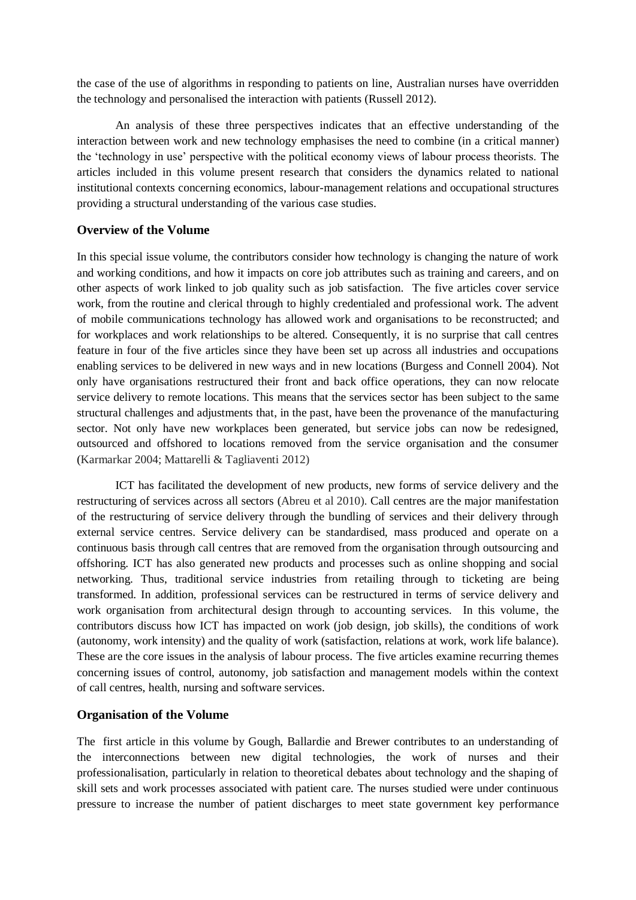the case of the use of algorithms in responding to patients on line, Australian nurses have overridden the technology and personalised the interaction with patients (Russell 2012).

An analysis of these three perspectives indicates that an effective understanding of the interaction between work and new technology emphasises the need to combine (in a critical manner) the 'technology in use' perspective with the political economy views of labour process theorists. The articles included in this volume present research that considers the dynamics related to national institutional contexts concerning economics, labour-management relations and occupational structures providing a structural understanding of the various case studies.

### **Overview of the Volume**

In this special issue volume, the contributors consider how technology is changing the nature of work and working conditions, and how it impacts on core job attributes such as training and careers, and on other aspects of work linked to job quality such as job satisfaction. The five articles cover service work, from the routine and clerical through to highly credentialed and professional work. The advent of mobile communications technology has allowed work and organisations to be reconstructed; and for workplaces and work relationships to be altered. Consequently, it is no surprise that call centres feature in four of the five articles since they have been set up across all industries and occupations enabling services to be delivered in new ways and in new locations (Burgess and Connell 2004). Not only have organisations restructured their front and back office operations, they can now relocate service delivery to remote locations. This means that the services sector has been subject to the same structural challenges and adjustments that, in the past, have been the provenance of the manufacturing sector. Not only have new workplaces been generated, but service jobs can now be redesigned, outsourced and offshored to locations removed from the service organisation and the consumer (Karmarkar 2004; Mattarelli & Tagliaventi 2012)

ICT has facilitated the development of new products, new forms of service delivery and the restructuring of services across all sectors (Abreu et al 2010). Call centres are the major manifestation of the restructuring of service delivery through the bundling of services and their delivery through external service centres. Service delivery can be standardised, mass produced and operate on a continuous basis through call centres that are removed from the organisation through outsourcing and offshoring. ICT has also generated new products and processes such as online shopping and social networking. Thus, traditional service industries from retailing through to ticketing are being transformed. In addition, professional services can be restructured in terms of service delivery and work organisation from architectural design through to accounting services. In this volume, the contributors discuss how ICT has impacted on work (job design, job skills), the conditions of work (autonomy, work intensity) and the quality of work (satisfaction, relations at work, work life balance). These are the core issues in the analysis of labour process. The five articles examine recurring themes concerning issues of control, autonomy, job satisfaction and management models within the context of call centres, health, nursing and software services.

#### **Organisation of the Volume**

The first article in this volume by Gough, Ballardie and Brewer contributes to an understanding of the interconnections between new digital technologies, the work of nurses and their professionalisation, particularly in relation to theoretical debates about technology and the shaping of skill sets and work processes associated with patient care. The nurses studied were under continuous pressure to increase the number of patient discharges to meet state government key performance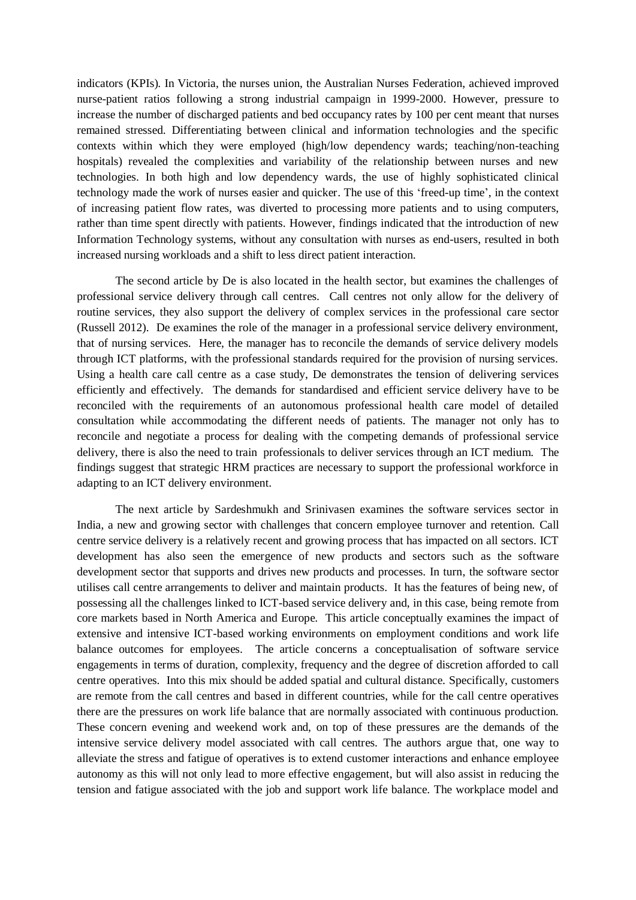indicators (KPIs). In Victoria, the nurses union, the Australian Nurses Federation, achieved improved nurse-patient ratios following a strong industrial campaign in 1999-2000. However, pressure to increase the number of discharged patients and bed occupancy rates by 100 per cent meant that nurses remained stressed. Differentiating between clinical and information technologies and the specific contexts within which they were employed (high/low dependency wards; teaching/non-teaching hospitals) revealed the complexities and variability of the relationship between nurses and new technologies. In both high and low dependency wards, the use of highly sophisticated clinical technology made the work of nurses easier and quicker. The use of this 'freed-up time', in the context of increasing patient flow rates, was diverted to processing more patients and to using computers, rather than time spent directly with patients. However, findings indicated that the introduction of new Information Technology systems, without any consultation with nurses as end-users, resulted in both increased nursing workloads and a shift to less direct patient interaction.

The second article by De is also located in the health sector, but examines the challenges of professional service delivery through call centres. Call centres not only allow for the delivery of routine services, they also support the delivery of complex services in the professional care sector (Russell 2012). De examines the role of the manager in a professional service delivery environment, that of nursing services. Here, the manager has to reconcile the demands of service delivery models through ICT platforms, with the professional standards required for the provision of nursing services. Using a health care call centre as a case study, De demonstrates the tension of delivering services efficiently and effectively. The demands for standardised and efficient service delivery have to be reconciled with the requirements of an autonomous professional health care model of detailed consultation while accommodating the different needs of patients. The manager not only has to reconcile and negotiate a process for dealing with the competing demands of professional service delivery, there is also the need to train professionals to deliver services through an ICT medium. The findings suggest that strategic HRM practices are necessary to support the professional workforce in adapting to an ICT delivery environment.

The next article by Sardeshmukh and Srinivasen examines the software services sector in India, a new and growing sector with challenges that concern employee turnover and retention. Call centre service delivery is a relatively recent and growing process that has impacted on all sectors. ICT development has also seen the emergence of new products and sectors such as the software development sector that supports and drives new products and processes. In turn, the software sector utilises call centre arrangements to deliver and maintain products. It has the features of being new, of possessing all the challenges linked to ICT-based service delivery and, in this case, being remote from core markets based in North America and Europe. This article conceptually examines the impact of extensive and intensive ICT-based working environments on employment conditions and work life balance outcomes for employees. The article concerns a conceptualisation of software service engagements in terms of duration, complexity, frequency and the degree of discretion afforded to call centre operatives. Into this mix should be added spatial and cultural distance. Specifically, customers are remote from the call centres and based in different countries, while for the call centre operatives there are the pressures on work life balance that are normally associated with continuous production. These concern evening and weekend work and, on top of these pressures are the demands of the intensive service delivery model associated with call centres. The authors argue that, one way to alleviate the stress and fatigue of operatives is to extend customer interactions and enhance employee autonomy as this will not only lead to more effective engagement, but will also assist in reducing the tension and fatigue associated with the job and support work life balance. The workplace model and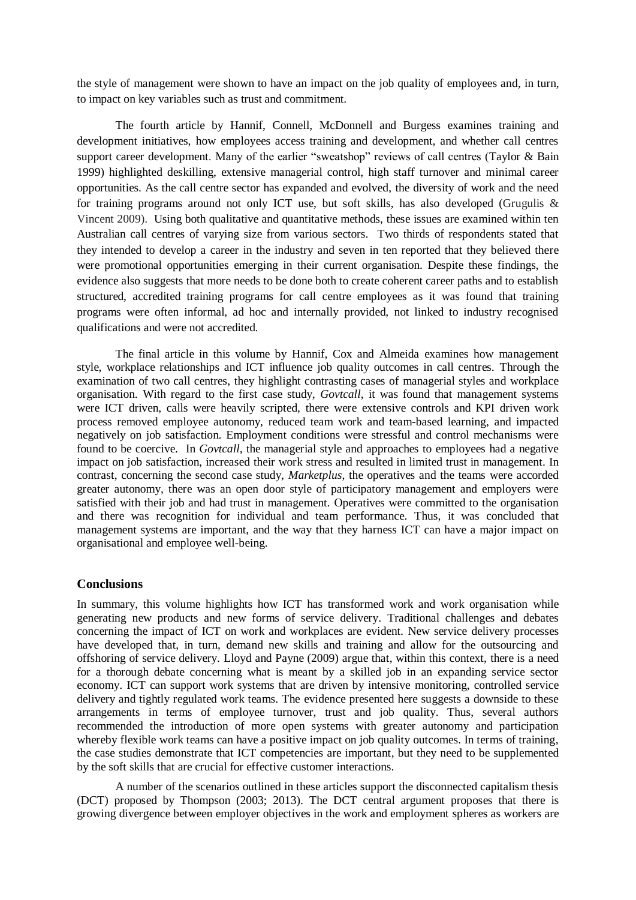the style of management were shown to have an impact on the job quality of employees and, in turn, to impact on key variables such as trust and commitment.

The fourth article by Hannif, Connell, McDonnell and Burgess examines training and development initiatives, how employees access training and development, and whether call centres support career development. Many of the earlier "sweatshop" reviews of call centres (Taylor & Bain 1999) highlighted deskilling, extensive managerial control, high staff turnover and minimal career opportunities. As the call centre sector has expanded and evolved, the diversity of work and the need for training programs around not only ICT use, but soft skills, has also developed (Grugulis & Vincent 2009). Using both qualitative and quantitative methods, these issues are examined within ten Australian call centres of varying size from various sectors. Two thirds of respondents stated that they intended to develop a career in the industry and seven in ten reported that they believed there were promotional opportunities emerging in their current organisation. Despite these findings, the evidence also suggests that more needs to be done both to create coherent career paths and to establish structured, accredited training programs for call centre employees as it was found that training programs were often informal, ad hoc and internally provided, not linked to industry recognised qualifications and were not accredited.

The final article in this volume by Hannif, Cox and Almeida examines how management style, workplace relationships and ICT influence job quality outcomes in call centres. Through the examination of two call centres, they highlight contrasting cases of managerial styles and workplace organisation. With regard to the first case study, *Govtcall*, it was found that management systems were ICT driven, calls were heavily scripted, there were extensive controls and KPI driven work process removed employee autonomy, reduced team work and team-based learning, and impacted negatively on job satisfaction. Employment conditions were stressful and control mechanisms were found to be coercive. In *Govtcall,* the managerial style and approaches to employees had a negative impact on job satisfaction, increased their work stress and resulted in limited trust in management. In contrast, concerning the second case study, *Marketplus*, the operatives and the teams were accorded greater autonomy, there was an open door style of participatory management and employers were satisfied with their job and had trust in management. Operatives were committed to the organisation and there was recognition for individual and team performance. Thus, it was concluded that management systems are important, and the way that they harness ICT can have a major impact on organisational and employee well-being.

#### **Conclusions**

In summary, this volume highlights how ICT has transformed work and work organisation while generating new products and new forms of service delivery. Traditional challenges and debates concerning the impact of ICT on work and workplaces are evident. New service delivery processes have developed that, in turn, demand new skills and training and allow for the outsourcing and offshoring of service delivery. Lloyd and Payne (2009) argue that, within this context, there is a need for a thorough debate concerning what is meant by a skilled job in an expanding service sector economy. ICT can support work systems that are driven by intensive monitoring, controlled service delivery and tightly regulated work teams. The evidence presented here suggests a downside to these arrangements in terms of employee turnover, trust and job quality. Thus, several authors recommended the introduction of more open systems with greater autonomy and participation whereby flexible work teams can have a positive impact on job quality outcomes. In terms of training, the case studies demonstrate that ICT competencies are important, but they need to be supplemented by the soft skills that are crucial for effective customer interactions.

A number of the scenarios outlined in these articles support the disconnected capitalism thesis (DCT) proposed by Thompson (2003; 2013). The DCT central argument proposes that there is growing divergence between employer objectives in the work and employment spheres as workers are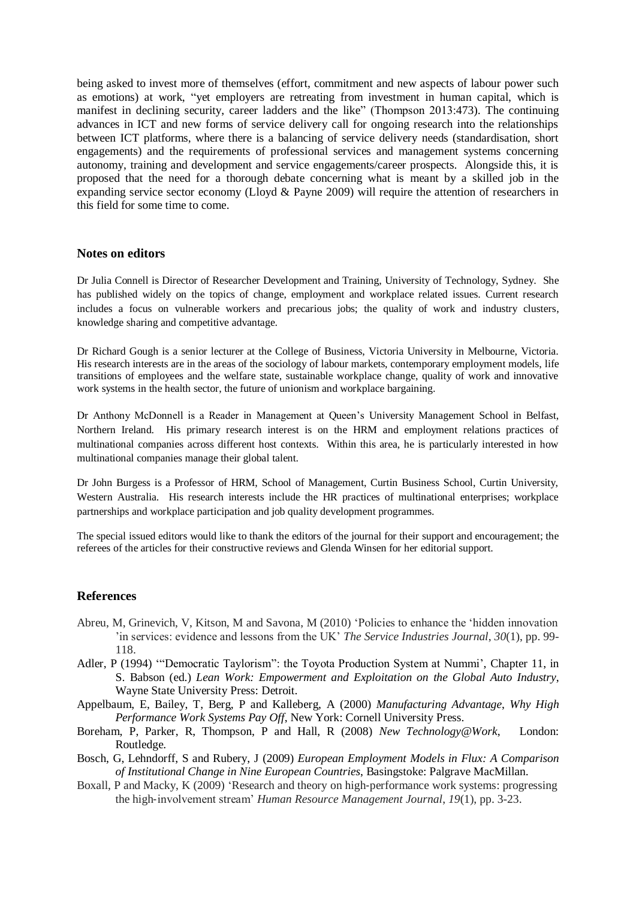being asked to invest more of themselves (effort, commitment and new aspects of labour power such as emotions) at work, "yet employers are retreating from investment in human capital, which is manifest in declining security, career ladders and the like" (Thompson 2013:473). The continuing advances in ICT and new forms of service delivery call for ongoing research into the relationships between ICT platforms, where there is a balancing of service delivery needs (standardisation, short engagements) and the requirements of professional services and management systems concerning autonomy, training and development and service engagements/career prospects. Alongside this, it is proposed that the need for a thorough debate concerning what is meant by a skilled job in the expanding service sector economy (Lloyd & Payne 2009) will require the attention of researchers in this field for some time to come.

#### **Notes on editors**

Dr Julia Connell is Director of Researcher Development and Training, University of Technology, Sydney. She has published widely on the topics of change, employment and workplace related issues. Current research includes a focus on vulnerable workers and precarious jobs; the quality of work and industry clusters, knowledge sharing and competitive advantage.

Dr Richard Gough is a senior lecturer at the College of Business, Victoria University in Melbourne, Victoria. His research interests are in the areas of the sociology of labour markets, contemporary employment models, life transitions of employees and the welfare state, sustainable workplace change, quality of work and innovative work systems in the health sector, the future of unionism and workplace bargaining.

Dr Anthony McDonnell is a Reader in Management at Queen's University Management School in Belfast, Northern Ireland. His primary research interest is on the HRM and employment relations practices of multinational companies across different host contexts. Within this area, he is particularly interested in how multinational companies manage their global talent.

Dr John Burgess is a Professor of HRM, School of Management, Curtin Business School, Curtin University, Western Australia. His research interests include the HR practices of multinational enterprises; workplace partnerships and workplace participation and job quality development programmes.

The special issued editors would like to thank the editors of the journal for their support and encouragement; the referees of the articles for their constructive reviews and Glenda Winsen for her editorial support.

#### **References**

- Abreu, M, Grinevich, V, Kitson, M and Savona, M (2010) 'Policies to enhance the 'hidden innovation 'in services: evidence and lessons from the UK' *The Service Industries Journal*, *30*(1), pp. 99- 118.
- Adler, P (1994) "Democratic Taylorism": the Toyota Production System at Nummi', Chapter 11, in S. Babson (ed.) *Lean Work: Empowerment and Exploitation on the Global Auto Industry*, Wayne State University Press: Detroit.
- Appelbaum, E, Bailey, T, Berg, P and Kalleberg, A (2000) *Manufacturing Advantage*, *Why High Performance Work Systems Pay Off*, New York: Cornell University Press.
- Boreham, P, Parker, R, Thompson, P and Hall, R (2008) *New Technology@Work*, London: Routledge.
- Bosch, G, Lehndorff, S and Rubery, J (2009) *European Employment Models in Flux: A Comparison of Institutional Change in Nine European Countries*, Basingstoke: Palgrave MacMillan.
- Boxall, P and Macky, K (2009) 'Research and theory on high‐performance work systems: progressing the high‐involvement stream' *Human Resource Management Journal*, *19*(1), pp. 3-23.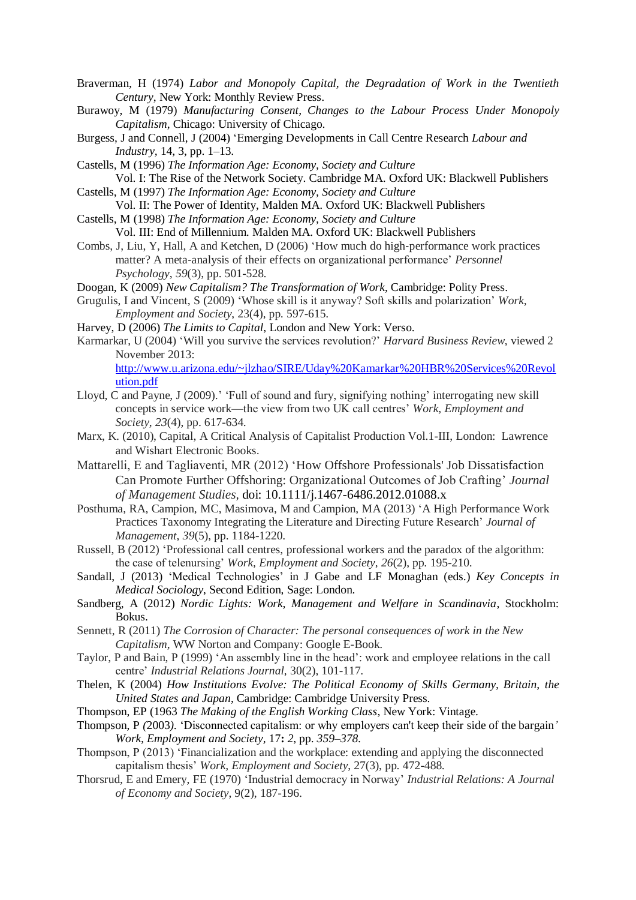- Braverman, H (1974) *Labor and Monopoly Capital, the Degradation of Work in the Twentieth Century*, New York: Monthly Review Press.
- Burawoy, M (1979) *Manufacturing Consent, Changes to the Labour Process Under Monopoly Capitalism*, Chicago: University of Chicago.
- Burgess, J and Connell, J (2004) 'Emerging Developments in Call Centre Research *Labour and Industry,* 14, 3, pp. 1–13.
- Castells, M (1996) *The Information Age: Economy, Society and Culture* Vol. I: The Rise of the Network Society. Cambridge MA. Oxford UK: Blackwell Publishers
- Castells, M (1997) *The Information Age: Economy, Society and Culture* Vol. II: The Power of Identity, Malden MA. Oxford UK: Blackwell Publishers
- Castells, M (1998) *The Information Age: Economy, Society and Culture* Vol. III: End of Millennium. Malden MA. Oxford UK: Blackwell Publishers
- Combs, J, Liu, Y, Hall, A and Ketchen, D (2006) 'How much do high‐performance work practices matter? A meta‐analysis of their effects on organizational performance' *Personnel Psychology*, *59*(3), pp. 501-528.
- Doogan, K (2009) *New Capitalism? The Transformation of Work*, Cambridge: Polity Press.
- Grugulis, I and Vincent, S (2009) 'Whose skill is it anyway? Soft skills and polarization' *Work, Employment and Society*, 23(4), pp. 597-615.
- Harvey, D (2006) *The Limits to Capital*, London and New York: Verso.
- Karmarkar, U (2004) 'Will you survive the services revolution?' *Harvard Business Review*, viewed 2 November 2013:

[http://www.u.arizona.edu/~jlzhao/SIRE/Uday%20Kamarkar%20HBR%20Services%20Revol](http://www.u.arizona.edu/~jlzhao/SIRE/Uday%20Kamarkar%20HBR%20Services%20Revolution.pdf) [ution.pdf](http://www.u.arizona.edu/~jlzhao/SIRE/Uday%20Kamarkar%20HBR%20Services%20Revolution.pdf)

- Lloyd, C and Payne, J (2009).' 'Full of sound and fury, signifying nothing' interrogating new skill concepts in service work—the view from two UK call centres' *Work, Employment and Society*, *23*(4), pp. 617-634.
- Marx, K. (2010), Capital, A Critical Analysis of Capitalist Production Vol.1-III, London: Lawrence and Wishart Electronic Books.
- Mattarelli, E and Tagliaventi, MR (2012) 'How Offshore Professionals' Job Dissatisfaction Can Promote Further Offshoring: Organizational Outcomes of Job Crafting' *Journal of Management Studies,* doi: 10.1111/j.1467-6486.2012.01088.x
- Posthuma, RA, Campion, MC, Masimova, M and Campion, MA (2013) 'A High Performance Work Practices Taxonomy Integrating the Literature and Directing Future Research' *Journal of Management*, *39*(5), pp. 1184-1220.
- Russell, B (2012) 'Professional call centres, professional workers and the paradox of the algorithm: the case of telenursing' *Work, Employment and Society*, *26*(2), pp. 195-210.
- Sandall, J (2013) 'Medical Technologies' in J Gabe and LF Monaghan (eds.) *Key Concepts in Medical Sociology*, Second Edition, Sage: London.
- Sandberg, A (2012) *Nordic Lights: Work, Management and Welfare in Scandinavia*, Stockholm: Bokus.
- Sennett, R (2011) *The Corrosion of Character: The personal consequences of work in the New Capitalism*, WW Norton and Company: Google E-Book.
- Taylor, P and Bain, P (1999) 'An assembly line in the head': work and employee relations in the call centre' *Industrial Relations Journal*, 30(2), 101-117.
- Thelen, K (2004) *How Institutions Evolve: The Political Economy of Skills Germany, Britain, the United States and Japan*, Cambridge: Cambridge University Press.
- Thompson, EP (1963 *The Making of the English Working Class*, New York: Vintage.
- Thompson, P *(*2003*).* 'Disconnected capitalism: or why employers can't keep their side of the bargain*' Work, Employment and Society,* 17**:** *2*, pp. *359*–*378*.
- Thompson, P (2013) 'Financialization and the workplace: extending and applying the disconnected capitalism thesis' *Work, Employment and Society*, 27(3), pp. 472-488.
- Thorsrud, E and Emery, FE (1970) 'Industrial democracy in Norway' *Industrial Relations: A Journal of Economy and Society*, 9(2), 187-196.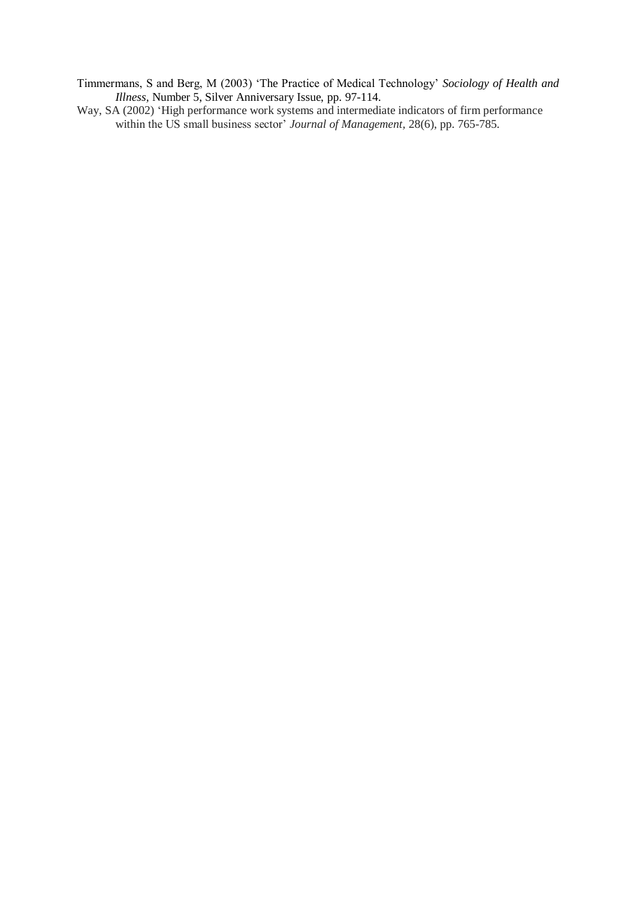Timmermans, S and Berg, M (2003) 'The Practice of Medical Technology' *Sociology of Health and Illness,* Number 5, Silver Anniversary Issue, pp. 97-114.

Way, SA (2002) 'High performance work systems and intermediate indicators of firm performance within the US small business sector' *Journal of Management,* 28(6), pp. 765-785.